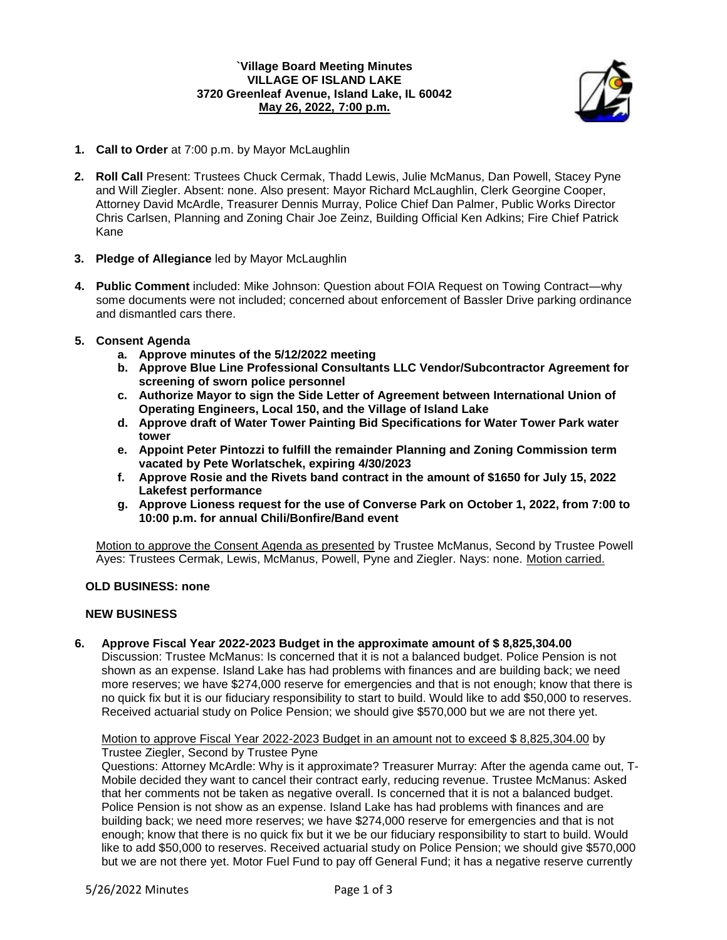

- **1. Call to Order** at 7:00 p.m. by Mayor McLaughlin
- **2. Roll Call** Present: Trustees Chuck Cermak, Thadd Lewis, Julie McManus, Dan Powell, Stacey Pyne and Will Ziegler. Absent: none. Also present: Mayor Richard McLaughlin, Clerk Georgine Cooper, Attorney David McArdle, Treasurer Dennis Murray, Police Chief Dan Palmer, Public Works Director Chris Carlsen, Planning and Zoning Chair Joe Zeinz, Building Official Ken Adkins; Fire Chief Patrick Kane
- **3. Pledge of Allegiance** led by Mayor McLaughlin
- **4. Public Comment** included: Mike Johnson: Question about FOIA Request on Towing Contract—why some documents were not included; concerned about enforcement of Bassler Drive parking ordinance and dismantled cars there.
- **5. Consent Agenda**
	- **a. Approve minutes of the 5/12/2022 meeting**
	- **b. Approve Blue Line Professional Consultants LLC Vendor/Subcontractor Agreement for screening of sworn police personnel**
	- **c. Authorize Mayor to sign the Side Letter of Agreement between International Union of Operating Engineers, Local 150, and the Village of Island Lake**
	- **d. Approve draft of Water Tower Painting Bid Specifications for Water Tower Park water tower**
	- **e. Appoint Peter Pintozzi to fulfill the remainder Planning and Zoning Commission term vacated by Pete Worlatschek, expiring 4/30/2023**
	- **f. Approve Rosie and the Rivets band contract in the amount of \$1650 for July 15, 2022 Lakefest performance**
	- **g. Approve Lioness request for the use of Converse Park on October 1, 2022, from 7:00 to 10:00 p.m. for annual Chili/Bonfire/Band event**

Motion to approve the Consent Agenda as presented by Trustee McManus, Second by Trustee Powell Ayes: Trustees Cermak, Lewis, McManus, Powell, Pyne and Ziegler. Nays: none. Motion carried.

## **OLD BUSINESS: none**

## **NEW BUSINESS**

**6. Approve Fiscal Year 2022-2023 Budget in the approximate amount of \$ 8,825,304.00**

Discussion: Trustee McManus: Is concerned that it is not a balanced budget. Police Pension is not shown as an expense. Island Lake has had problems with finances and are building back; we need more reserves; we have \$274,000 reserve for emergencies and that is not enough; know that there is no quick fix but it is our fiduciary responsibility to start to build. Would like to add \$50,000 to reserves. Received actuarial study on Police Pension; we should give \$570,000 but we are not there yet.

#### Motion to approve Fiscal Year 2022-2023 Budget in an amount not to exceed \$ 8,825,304.00 by Trustee Ziegler, Second by Trustee Pyne

Questions: Attorney McArdle: Why is it approximate? Treasurer Murray: After the agenda came out, T-Mobile decided they want to cancel their contract early, reducing revenue. Trustee McManus: Asked that her comments not be taken as negative overall. Is concerned that it is not a balanced budget. Police Pension is not show as an expense. Island Lake has had problems with finances and are building back; we need more reserves; we have \$274,000 reserve for emergencies and that is not enough; know that there is no quick fix but it we be our fiduciary responsibility to start to build. Would like to add \$50,000 to reserves. Received actuarial study on Police Pension; we should give \$570,000 but we are not there yet. Motor Fuel Fund to pay off General Fund; it has a negative reserve currently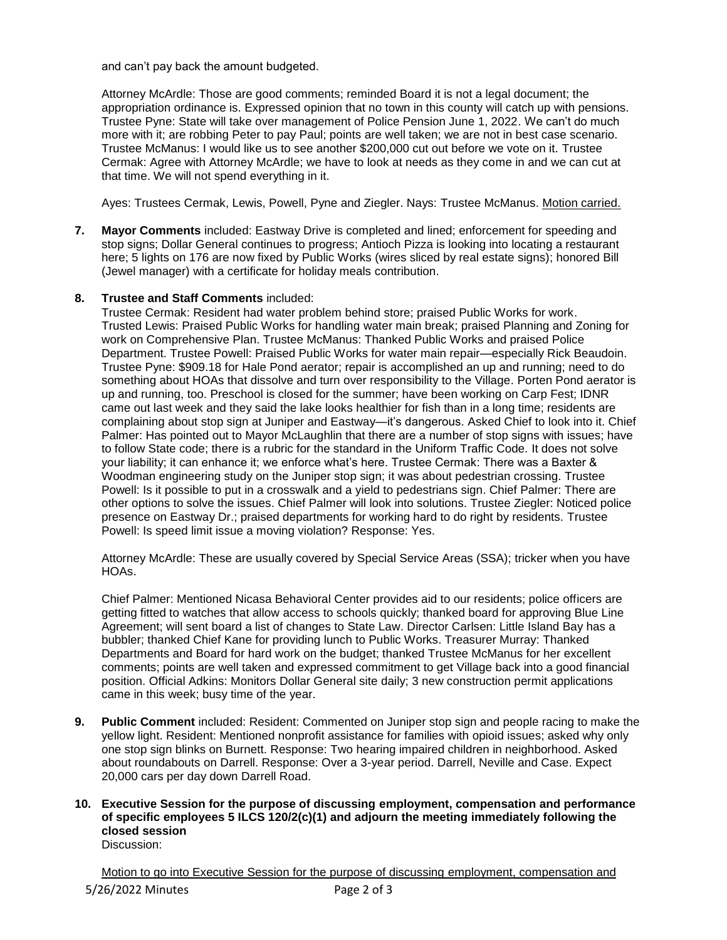and can't pay back the amount budgeted.

Attorney McArdle: Those are good comments; reminded Board it is not a legal document; the appropriation ordinance is. Expressed opinion that no town in this county will catch up with pensions. Trustee Pyne: State will take over management of Police Pension June 1, 2022. We can't do much more with it; are robbing Peter to pay Paul; points are well taken; we are not in best case scenario. Trustee McManus: I would like us to see another \$200,000 cut out before we vote on it. Trustee Cermak: Agree with Attorney McArdle; we have to look at needs as they come in and we can cut at that time. We will not spend everything in it.

Ayes: Trustees Cermak, Lewis, Powell, Pyne and Ziegler. Nays: Trustee McManus. Motion carried.

**7. Mayor Comments** included: Eastway Drive is completed and lined; enforcement for speeding and stop signs; Dollar General continues to progress; Antioch Pizza is looking into locating a restaurant here; 5 lights on 176 are now fixed by Public Works (wires sliced by real estate signs); honored Bill (Jewel manager) with a certificate for holiday meals contribution.

# **8. Trustee and Staff Comments** included:

Trustee Cermak: Resident had water problem behind store; praised Public Works for work. Trusted Lewis: Praised Public Works for handling water main break; praised Planning and Zoning for work on Comprehensive Plan. Trustee McManus: Thanked Public Works and praised Police Department. Trustee Powell: Praised Public Works for water main repair—especially Rick Beaudoin. Trustee Pyne: \$909.18 for Hale Pond aerator; repair is accomplished an up and running; need to do something about HOAs that dissolve and turn over responsibility to the Village. Porten Pond aerator is up and running, too. Preschool is closed for the summer; have been working on Carp Fest; IDNR came out last week and they said the lake looks healthier for fish than in a long time; residents are complaining about stop sign at Juniper and Eastway—it's dangerous. Asked Chief to look into it. Chief Palmer: Has pointed out to Mayor McLaughlin that there are a number of stop signs with issues; have to follow State code; there is a rubric for the standard in the Uniform Traffic Code. It does not solve your liability; it can enhance it; we enforce what's here. Trustee Cermak: There was a Baxter & Woodman engineering study on the Juniper stop sign; it was about pedestrian crossing. Trustee Powell: Is it possible to put in a crosswalk and a yield to pedestrians sign. Chief Palmer: There are other options to solve the issues. Chief Palmer will look into solutions. Trustee Ziegler: Noticed police presence on Eastway Dr.; praised departments for working hard to do right by residents. Trustee Powell: Is speed limit issue a moving violation? Response: Yes.

Attorney McArdle: These are usually covered by Special Service Areas (SSA); tricker when you have HOAs.

Chief Palmer: Mentioned Nicasa Behavioral Center provides aid to our residents; police officers are getting fitted to watches that allow access to schools quickly; thanked board for approving Blue Line Agreement; will sent board a list of changes to State Law. Director Carlsen: Little Island Bay has a bubbler; thanked Chief Kane for providing lunch to Public Works. Treasurer Murray: Thanked Departments and Board for hard work on the budget; thanked Trustee McManus for her excellent comments; points are well taken and expressed commitment to get Village back into a good financial position. Official Adkins: Monitors Dollar General site daily; 3 new construction permit applications came in this week; busy time of the year.

- **9. Public Comment** included: Resident: Commented on Juniper stop sign and people racing to make the yellow light. Resident: Mentioned nonprofit assistance for families with opioid issues; asked why only one stop sign blinks on Burnett. Response: Two hearing impaired children in neighborhood. Asked about roundabouts on Darrell. Response: Over a 3-year period. Darrell, Neville and Case. Expect 20,000 cars per day down Darrell Road.
- **10. Executive Session for the purpose of discussing employment, compensation and performance of specific employees 5 ILCS 120/2(c)(1) and adjourn the meeting immediately following the closed session**

Discussion:

Motion to go into Executive Session for the purpose of discussing employment, compensation and